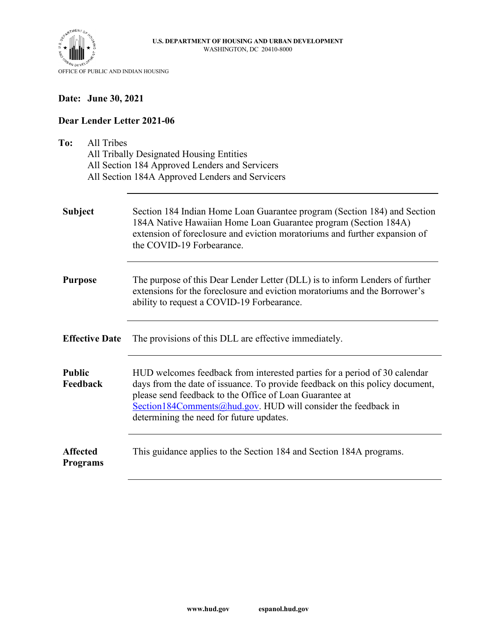



# **Date: June 30, 2021**

## **Dear Lender Letter 2021-06**

| To:<br><b>All Tribes</b><br>All Tribally Designated Housing Entities<br>All Section 184 Approved Lenders and Servicers<br>All Section 184A Approved Lenders and Servicers |                                                                                                                                                                                                                                                                                                                                   |  |  |  |  |
|---------------------------------------------------------------------------------------------------------------------------------------------------------------------------|-----------------------------------------------------------------------------------------------------------------------------------------------------------------------------------------------------------------------------------------------------------------------------------------------------------------------------------|--|--|--|--|
| <b>Subject</b>                                                                                                                                                            | Section 184 Indian Home Loan Guarantee program (Section 184) and Section<br>184A Native Hawaiian Home Loan Guarantee program (Section 184A)<br>extension of foreclosure and eviction moratoriums and further expansion of<br>the COVID-19 Forbearance.                                                                            |  |  |  |  |
| <b>Purpose</b>                                                                                                                                                            | The purpose of this Dear Lender Letter (DLL) is to inform Lenders of further<br>extensions for the foreclosure and eviction moratoriums and the Borrower's<br>ability to request a COVID-19 Forbearance.                                                                                                                          |  |  |  |  |
| <b>Effective Date</b>                                                                                                                                                     | The provisions of this DLL are effective immediately.                                                                                                                                                                                                                                                                             |  |  |  |  |
| <b>Public</b><br>Feedback                                                                                                                                                 | HUD welcomes feedback from interested parties for a period of 30 calendar<br>days from the date of issuance. To provide feedback on this policy document,<br>please send feedback to the Office of Loan Guarantee at<br>Section184Comments@hud.gov. HUD will consider the feedback in<br>determining the need for future updates. |  |  |  |  |
| <b>Affected</b><br><b>Programs</b>                                                                                                                                        | This guidance applies to the Section 184 and Section 184A programs.                                                                                                                                                                                                                                                               |  |  |  |  |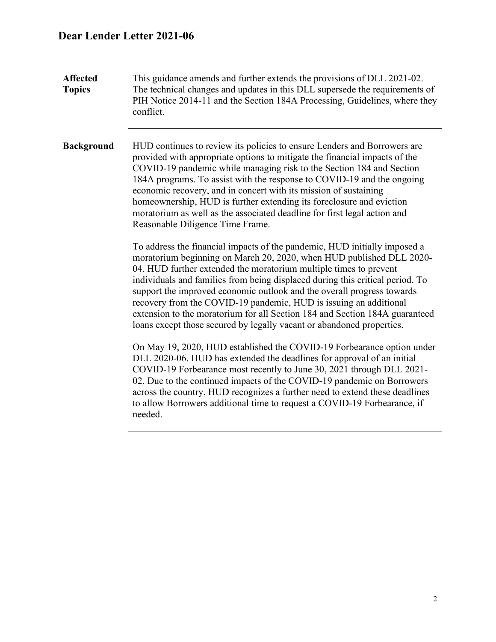# **Dear Lender Letter 2021-06**

**Affected Topics**  This guidance amends and further extends the provisions of DLL 2021-02. The technical changes and updates in this DLL supersede the requirements of PIH Notice 2014-11 and the Section 184A Processing, Guidelines, where they conflict. **Background** HUD continues to review its policies to ensure Lenders and Borrowers are provided with appropriate options to mitigate the financial impacts of the COVID-19 pandemic while managing risk to the Section 184 and Section 184A programs. To assist with the response to COVID-19 and the ongoing economic recovery, and in concert with its mission of sustaining homeownership, HUD is further extending its foreclosure and eviction moratorium as well as the associated deadline for first legal action and Reasonable Diligence Time Frame. To address the financial impacts of the pandemic, HUD initially imposed a moratorium beginning on March 20, 2020, when HUD published DLL 2020- 04. HUD further extended the moratorium multiple times to prevent individuals and families from being displaced during this critical period. To support the improved economic outlook and the overall progress towards recovery from the COVID-19 pandemic, HUD is issuing an additional extension to the moratorium for all Section 184 and Section 184A guaranteed loans except those secured by legally vacant or abandoned properties. On May 19, 2020, HUD established the COVID-19 Forbearance option under DLL 2020-06. HUD has extended the deadlines for approval of an initial COVID-19 Forbearance most recently to June 30, 2021 through DLL 2021- 02. Due to the continued impacts of the COVID-19 pandemic on Borrowers across the country, HUD recognizes a further need to extend these deadlines to allow Borrowers additional time to request a COVID-19 Forbearance, if needed.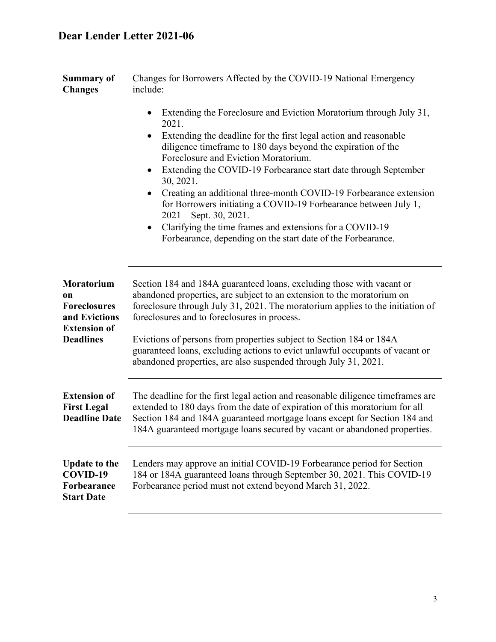| <b>Summary of</b> | Changes for Borrowers Affected by the COVID-19 National Emergency |
|-------------------|-------------------------------------------------------------------|
| <b>Changes</b>    | include:                                                          |

- Extending the Foreclosure and Eviction Moratorium through July 31, 2021.
- Extending the deadline for the first legal action and reasonable diligence timeframe to 180 days beyond the expiration of the Foreclosure and Eviction Moratorium.
- Extending the COVID-19 Forbearance start date through September 30, 2021.
- Creating an additional three-month COVID-19 Forbearance extension for Borrowers initiating a COVID-19 Forbearance between July 1, 2021 – Sept. 30, 2021.
- Clarifying the time frames and extensions for a COVID-19 Forbearance, depending on the start date of the Forbearance.

| Moratorium<br><b>on</b><br><b>Foreclosures</b><br>and Evictions<br><b>Extension of</b> | Section 184 and 184A guaranteed loans, excluding those with vacant or<br>abandoned properties, are subject to an extension to the moratorium on<br>foreclosure through July 31, 2021. The moratorium applies to the initiation of<br>foreclosures and to foreclosures in process.                                        |  |  |
|----------------------------------------------------------------------------------------|--------------------------------------------------------------------------------------------------------------------------------------------------------------------------------------------------------------------------------------------------------------------------------------------------------------------------|--|--|
| <b>Deadlines</b>                                                                       | Evictions of persons from properties subject to Section 184 or 184A<br>guaranteed loans, excluding actions to evict unlawful occupants of vacant or<br>abandoned properties, are also suspended through July 31, 2021.                                                                                                   |  |  |
| <b>Extension of</b><br><b>First Legal</b><br><b>Deadline Date</b>                      | The deadline for the first legal action and reasonable diligence timeframes are<br>extended to 180 days from the date of expiration of this moratorium for all<br>Section 184 and 184A guaranteed mortgage loans except for Section 184 and<br>184A guaranteed mortgage loans secured by vacant or abandoned properties. |  |  |
| <b>Update to the</b><br>COVID-19<br>Forbearance<br><b>Start Date</b>                   | Lenders may approve an initial COVID-19 Forbearance period for Section<br>184 or 184A guaranteed loans through September 30, 2021. This COVID-19<br>Forbearance period must not extend beyond March 31, 2022.                                                                                                            |  |  |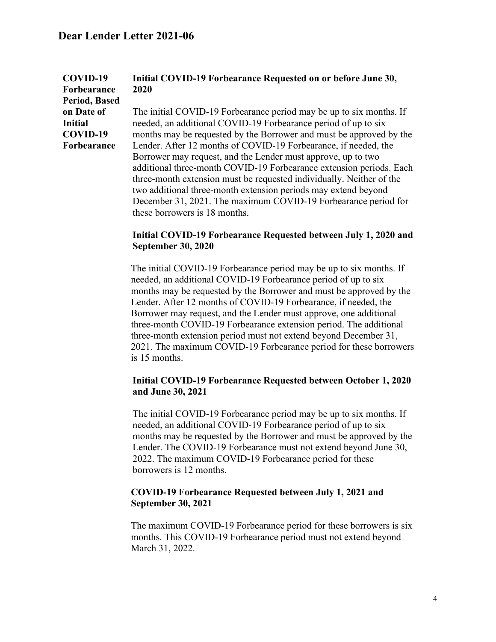| COVID-19       |              |
|----------------|--------------|
| Forbearance    | $\mathbf{z}$ |
| Period, Based  |              |
| on Date of     | Τ            |
| <b>Initial</b> | n            |
| COVID-19       | n            |
| Forbearance    |              |
|                |              |

### **Initial COVID-19 Forbearance Requested on or before June 30, 2020**

The initial COVID-19 Forbearance period may be up to six months. If eeded, an additional COVID-19 Forbearance period of up to six months may be requested by the Borrower and must be approved by the Lender. After 12 months of COVID-19 Forbearance, if needed, the Borrower may request, and the Lender must approve, up to two additional three-month COVID-19 Forbearance extension periods. Each three-month extension must be requested individually. Neither of the two additional three-month extension periods may extend beyond December 31, 2021. The maximum COVID-19 Forbearance period for these borrowers is 18 months.

#### **Initial COVID-19 Forbearance Requested between July 1, 2020 and September 30, 2020**

The initial COVID-19 Forbearance period may be up to six months. If needed, an additional COVID-19 Forbearance period of up to six months may be requested by the Borrower and must be approved by the Lender. After 12 months of COVID-19 Forbearance, if needed, the Borrower may request, and the Lender must approve, one additional three-month COVID-19 Forbearance extension period. The additional three-month extension period must not extend beyond December 31, 2021. The maximum COVID-19 Forbearance period for these borrowers is 15 months.

#### **Initial COVID-19 Forbearance Requested between October 1, 2020 and June 30, 2021**

The initial COVID-19 Forbearance period may be up to six months. If needed, an additional COVID-19 Forbearance period of up to six months may be requested by the Borrower and must be approved by the Lender. The COVID-19 Forbearance must not extend beyond June 30, 2022. The maximum COVID-19 Forbearance period for these borrowers is 12 months.

#### **COVID-19 Forbearance Requested between July 1, 2021 and September 30, 2021**

The maximum COVID-19 Forbearance period for these borrowers is six months. This COVID-19 Forbearance period must not extend beyond March 31, 2022.